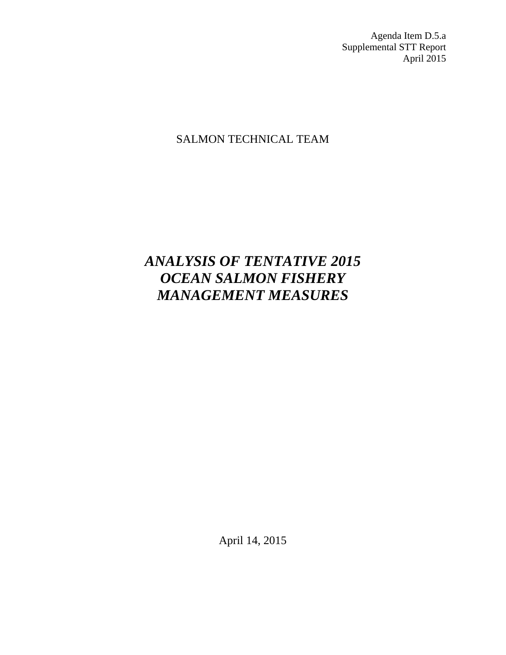Agenda Item D.5.a Supplemental STT Report April 2015

# SALMON TECHNICAL TEAM

# *ANALYSIS OF TENTATIVE 2015 OCEAN SALMON FISHERY MANAGEMENT MEASURES*

April 14, 2015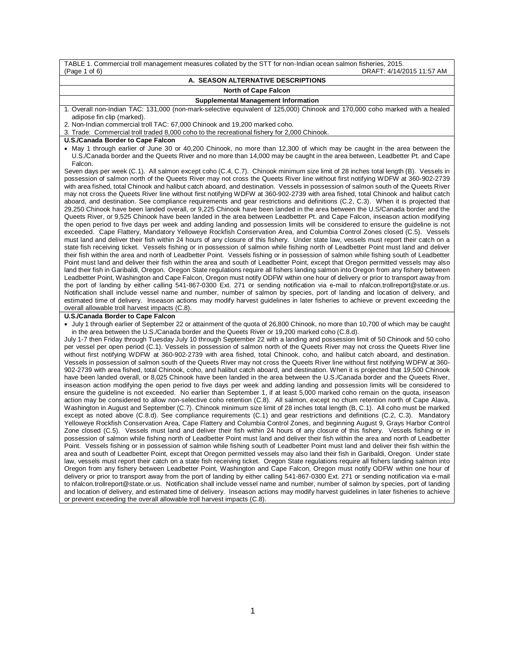| TABLE 1. Commercial troll management measures collated by the STT for non-Indian ocean salmon fisheries, 2015.                                                                                                                                                                 |  |  |  |  |  |  |
|--------------------------------------------------------------------------------------------------------------------------------------------------------------------------------------------------------------------------------------------------------------------------------|--|--|--|--|--|--|
| DRAFT: 4/14/2015 11:57 AM<br>(Page 1 of 6)                                                                                                                                                                                                                                     |  |  |  |  |  |  |
| A. SEASON ALTERNATIVE DESCRIPTIONS                                                                                                                                                                                                                                             |  |  |  |  |  |  |
| <b>North of Cape Falcon</b>                                                                                                                                                                                                                                                    |  |  |  |  |  |  |
| <b>Supplemental Management Information</b>                                                                                                                                                                                                                                     |  |  |  |  |  |  |
| 1. Overall non-Indian TAC: 131,000 (non-mark-selective equivalent of 125,000) Chinook and 170,000 coho marked with a healed                                                                                                                                                    |  |  |  |  |  |  |
| adipose fin clip (marked).                                                                                                                                                                                                                                                     |  |  |  |  |  |  |
| 2. Non-Indian commercial troll TAC: 67,000 Chinook and 19,200 marked coho.<br>3. Trade: Commercial troll traded 8,000 coho to the recreational fishery for 2,000 Chinook.                                                                                                      |  |  |  |  |  |  |
| <b>U.S./Canada Border to Cape Falcon</b>                                                                                                                                                                                                                                       |  |  |  |  |  |  |
| • May 1 through earlier of June 30 or 40,200 Chinook, no more than 12,300 of which may be caught in the area between the                                                                                                                                                       |  |  |  |  |  |  |
| U.S./Canada border and the Queets River and no more than 14,000 may be caught in the area between, Leadbetter Pt. and Cape                                                                                                                                                     |  |  |  |  |  |  |
| Falcon.                                                                                                                                                                                                                                                                        |  |  |  |  |  |  |
| Seven days per week (C.1). All salmon except coho (C.4, C.7). Chinook minimum size limit of 28 inches total length (B). Vessels in                                                                                                                                             |  |  |  |  |  |  |
| possession of salmon north of the Queets River may not cross the Queets River line without first notifying WDFW at 360-902-2739                                                                                                                                                |  |  |  |  |  |  |
| with area fished, total Chinook and halibut catch aboard, and destination. Vessels in possession of salmon south of the Queets River                                                                                                                                           |  |  |  |  |  |  |
| may not cross the Queets River line without first notifying WDFW at 360-902-2739 with area fished, total Chinook and halibut catch<br>aboard, and destination. See compliance requirements and gear restrictions and definitions (C.2, C.3). When it is projected that         |  |  |  |  |  |  |
| 29,250 Chinook have been landed overall, or 9,225 Chinook have been landed in the area between the U.S/Canada border and the                                                                                                                                                   |  |  |  |  |  |  |
| Queets River, or 9,525 Chinook have been landed in the area between Leadbetter Pt. and Cape Falcon, inseason action modifying                                                                                                                                                  |  |  |  |  |  |  |
| the open period to five days per week and adding landing and possession limits will be considered to ensure the guideline is not                                                                                                                                               |  |  |  |  |  |  |
| exceeded. Cape Flattery, Mandatory Yelloweye Rockfish Conservation Area, and Columbia Control Zones closed (C.5). Vessels                                                                                                                                                      |  |  |  |  |  |  |
| must land and deliver their fish within 24 hours of any closure of this fishery. Under state law, vessels must report their catch on a                                                                                                                                         |  |  |  |  |  |  |
| state fish receiving ticket. Vessels fishing or in possession of salmon while fishing north of Leadbetter Point must land and deliver                                                                                                                                          |  |  |  |  |  |  |
| their fish within the area and north of Leadbetter Point. Vessels fishing or in possession of salmon while fishing south of Leadbetter<br>Point must land and deliver their fish within the area and south of Leadbetter Point, except that Oregon permitted vessels may also  |  |  |  |  |  |  |
| land their fish in Garibaldi, Oregon. Oregon State regulations require all fishers landing salmon into Oregon from any fishery between                                                                                                                                         |  |  |  |  |  |  |
| Leadbetter Point, Washington and Cape Falcon, Oregon must notify ODFW within one hour of delivery or prior to transport away from                                                                                                                                              |  |  |  |  |  |  |
| the port of landing by either calling 541-867-0300 Ext. 271 or sending notification via e-mail to nfalcon.trollreport@state.or.us.                                                                                                                                             |  |  |  |  |  |  |
| Notification shall include vessel name and number, number of salmon by species, port of landing and location of delivery, and                                                                                                                                                  |  |  |  |  |  |  |
| estimated time of delivery. Inseason actions may modify harvest guidelines in later fisheries to achieve or prevent exceeding the                                                                                                                                              |  |  |  |  |  |  |
| overall allowable troll harvest impacts (C.8).                                                                                                                                                                                                                                 |  |  |  |  |  |  |
| <b>U.S./Canada Border to Cape Falcon</b><br>• July 1 through earlier of September 22 or attainment of the quota of 26,800 Chinook, no more than 10,700 of which may be caught                                                                                                  |  |  |  |  |  |  |
| in the area between the U.S./Canada border and the Queets River or 19,200 marked coho (C.8.d).                                                                                                                                                                                 |  |  |  |  |  |  |
| July 1-7 then Friday through Tuesday July 10 through September 22 with a landing and possession limit of 50 Chinook and 50 coho                                                                                                                                                |  |  |  |  |  |  |
| per vessel per open period (C.1). Vessels in possession of salmon north of the Queets River may not cross the Queets River line                                                                                                                                                |  |  |  |  |  |  |
| without first notifying WDFW at 360-902-2739 with area fished, total Chinook, coho, and halibut catch aboard, and destination.                                                                                                                                                 |  |  |  |  |  |  |
| Vessels in possession of salmon south of the Queets River may not cross the Queets River line without first notifying WDFW at 360-                                                                                                                                             |  |  |  |  |  |  |
| 902-2739 with area fished, total Chinook, coho, and halibut catch aboard, and destination. When it is projected that 19,500 Chinook                                                                                                                                            |  |  |  |  |  |  |
| have been landed overall, or 8,025 Chinook have been landed in the area between the U.S./Canada border and the Queets River,<br>inseason action modifying the open period to five days per week and adding landing and possession limits will be considered to                 |  |  |  |  |  |  |
| ensure the guideline is not exceeded. No earlier than September 1, if at least 5,000 marked coho remain on the quota, inseason                                                                                                                                                 |  |  |  |  |  |  |
| action may be considered to allow non-selective coho retention (C.8). All salmon, except no chum retention north of Cape Alava,                                                                                                                                                |  |  |  |  |  |  |
| Washington in August and September (C.7). Chinook minimum size limit of 28 inches total length (B, C.1). All coho must be marked                                                                                                                                               |  |  |  |  |  |  |
| except as noted above (C.8.d). See compliance requirements (C.1) and gear restrictions and definitions (C.2, C.3). Mandatory                                                                                                                                                   |  |  |  |  |  |  |
| Yelloweye Rockfish Conservation Area, Cape Flattery and Columbia Control Zones, and beginning August 9, Grays Harbor Control                                                                                                                                                   |  |  |  |  |  |  |
| Zone closed (C.5). Vessels must land and deliver their fish within 24 hours of any closure of this fishery. Vessels fishing or in                                                                                                                                              |  |  |  |  |  |  |
| possession of salmon while fishing north of Leadbetter Point must land and deliver their fish within the area and north of Leadbetter<br>Point. Vessels fishing or in possession of salmon while fishing south of Leadbetter Point must land and deliver their fish within the |  |  |  |  |  |  |
| area and south of Leadbetter Point, except that Oregon permitted vessels may also land their fish in Garibaldi, Oregon. Under state                                                                                                                                            |  |  |  |  |  |  |
| law, vessels must report their catch on a state fish receiving ticket. Oregon State regulations require all fishers landing salmon into                                                                                                                                        |  |  |  |  |  |  |
| Oregon from any fishery between Leadbetter Point, Washington and Cape Falcon, Oregon must notify ODFW within one hour of                                                                                                                                                       |  |  |  |  |  |  |
| delivery or prior to transport away from the port of landing by either calling 541-867-0300 Ext. 271 or sending notification via e-mail                                                                                                                                        |  |  |  |  |  |  |
| to nfalcon.trollreport@state.or.us. Notification shall include vessel name and number, number of salmon by species, port of landing                                                                                                                                            |  |  |  |  |  |  |

and location of delivery, and estimated time of delivery. Inseason actions may modify harvest guidelines in later fisheries to achieve or prevent exceeding the overall allowable troll harvest impacts (C.8).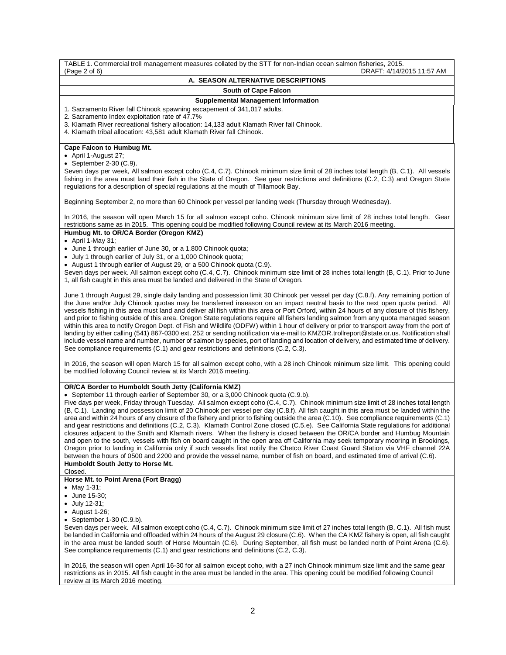TABLE 1. Commercial troll management measures collated by the STT for non-Indian ocean salmon fisheries, 2015. DRAFT: 4/14/2015 11:57 AM **A. SEASON ALTERNATIVE DESCRIPTIONS South of Cape Falcon Supplemental Management Information** 1. Sacramento River fall Chinook spawning escapement of 341,017 adults. 2. Sacramento Index exploitation rate of 47.7% 3. Klamath River recreational fishery allocation: 14,133 adult Klamath River fall Chinook. 4. Klamath tribal allocation: 43,581 adult Klamath River fall Chinook. **Cape Falcon to Humbug Mt.** • April 1-August 27; • September 2-30 (C.9). Seven days per week, All salmon except coho (C.4, C.7). Chinook minimum size limit of 28 inches total length (B, C.1). All vessels fishing in the area must land their fish in the State of Oregon. See gear restrictions and definitions (C.2, C.3) and Oregon State regulations for a description of special regulations at the mouth of Tillamook Bay. Beginning September 2, no more than 60 Chinook per vessel per landing week (Thursday through Wednesday). In 2016, the season will open March 15 for all salmon except coho. Chinook minimum size limit of 28 inches total length. Gear restrictions same as in 2015. This opening could be modified following Council review at its March 2016 meeting. **Humbug Mt. to OR/CA Border (Oregon KMZ)**  $\bullet$  April 1-May 31; • June 1 through earlier of June 30, or a 1,800 Chinook quota; • July 1 through earlier of July 31, or a 1,000 Chinook quota; • August 1 through earlier of August 29, or a 500 Chinook quota (C.9). Seven days per week. All salmon except coho (C.4, C.7). Chinook minimum size limit of 28 inches total length (B, C.1). Prior to June 1, all fish caught in this area must be landed and delivered in the State of Oregon. June 1 through August 29, single daily landing and possession limit 30 Chinook per vessel per day (C.8.f). Any remaining portion of the June and/or July Chinook quotas may be transferred inseason on an impact neutral basis to the next open quota period. All vessels fishing in this area must land and deliver all fish within this area or Port Orford, within 24 hours of any closure of this fishery, and prior to fishing outside of this area. Oregon State regulations require all fishers landing salmon from any quota managed season within this area to notify Oregon Dept. of Fish and Wildlife (ODFW) within 1 hour of delivery or prior to transport away from the port of landing by either calling (541) 867-0300 ext. 252 or sending notification via e-mail t[o KMZOR.trollreport@state.or.us.](mailto:KMZOR.trollreport@state.or.us) Notification shall include vessel name and number, number of salmon by species, port of landing and location of delivery, and estimated time of delivery. See compliance requirements (C.1) and gear restrictions and definitions (C.2, C.3). In 2016, the season will open March 15 for all salmon except coho, with a 28 inch Chinook minimum size limit. This opening could be modified following Council review at its March 2016 meeting. **OR/CA Border to Humboldt South Jetty (California KMZ)** • September 11 through earlier of September 30, or a 3,000 Chinook quota (C.9.b). Five days per week, Friday through Tuesday. All salmon except coho (C.4, C.7). Chinook minimum size limit of 28 inches total length (B, C.1). Landing and possession limit of 20 Chinook per vessel per day (C.8.f). All fish caught in this area must be landed within the area and within 24 hours of any closure of the fishery and prior to fishing outside the area (C.10). See compliance requirements (C.1) and gear restrictions and definitions (C.2, C.3). Klamath Control Zone closed (C.5.e). See California State regulations for additional closures adjacent to the Smith and Klamath rivers. When the fishery is closed between the OR/CA border and Humbug Mountain and open to the south, vessels with fish on board caught in the open area off California may seek temporary mooring in Brookings, Oregon prior to landing in California only if such vessels first notify the Chetco River Coast Guard Station via VHF channel 22A between the hours of 0500 and 2200 and provide the vessel name, number of fish on board, and estimated time of arrival (C.6). **Humboldt South Jetty to Horse Mt.** Closed. **Horse Mt. to Point Arena (Fort Bragg)** • May 1-31; • June 15-30; • July 12-31; • August 1-26; • September 1-30 (C.9.b). Seven days per week. All salmon except coho (C.4, C.7). Chinook minimum size limit of 27 inches total length (B, C.1). All fish must be landed in California and offloaded within 24 hours of the August 29 closure (C.6). When the CA KMZ fishery is open, all fish caught in the area must be landed south of Horse Mountain (C.6). During September, all fish must be landed north of Point Arena (C.6). See compliance requirements (C.1) and gear restrictions and definitions (C.2, C.3). In 2016, the season will open April 16-30 for all salmon except coho, with a 27 inch Chinook minimum size limit and the same gear restrictions as in 2015. All fish caught in the area must be landed in the area. This opening could be modified following Council

review at its March 2016 meeting.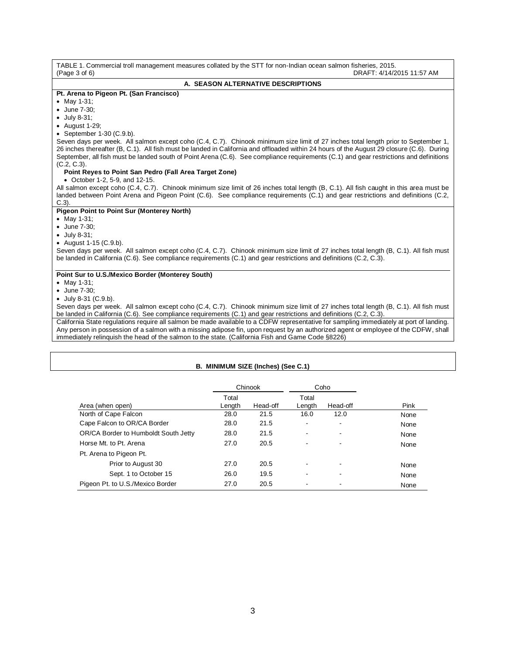| TABLE 1. Commercial troll management measures collated by the STT for non-Indian ocean salmon fisheries, 2015.<br>(Page 3 of 6)<br>DRAFT: 4/14/2015 11:57 AM |
|--------------------------------------------------------------------------------------------------------------------------------------------------------------|
| A. SEASON ALTERNATIVE DESCRIPTIONS                                                                                                                           |
| Pt. Arena to Pigeon Pt. (San Francisco)                                                                                                                      |
| • May 1-31;                                                                                                                                                  |
| • June 7-30:                                                                                                                                                 |
| $\bullet$ July 8-31;                                                                                                                                         |
| $\bullet$ August 1-29;                                                                                                                                       |
| • September 1-30 $(C.9.b)$ .                                                                                                                                 |
| Seven days per week. All salmon except coho (C.4, C.7). Chinook minimum size limit of 27 inches total length prior to September 1,                           |
| 26 inches thereafter (B, C.1). All fish must be landed in California and offloaded within 24 hours of the August 29 closure (C.6). During                    |
| September, all fish must be landed south of Point Arena (C.6). See compliance requirements (C.1) and gear restrictions and definitions                       |
| $(C.2, C.3)$ .                                                                                                                                               |
| Point Reyes to Point San Pedro (Fall Area Target Zone)<br>• October 1-2, 5-9, and 12-15.                                                                     |
| All salmon except coho (C.4, C.7). Chinook minimum size limit of 26 inches total length (B, C.1). All fish caught in this area must be                       |
| landed between Point Arena and Pigeon Point (C.6). See compliance requirements (C.1) and gear restrictions and definitions (C.2,                             |
| $C.3$ ).                                                                                                                                                     |
| <b>Pigeon Point to Point Sur (Monterey North)</b>                                                                                                            |
| • May 1-31;                                                                                                                                                  |
| • June 7-30:                                                                                                                                                 |
| $\bullet$ July 8-31;                                                                                                                                         |
| • August $1-15$ (C.9.b).                                                                                                                                     |
| Seven days per week. All salmon except coho (C.4, C.7). Chinook minimum size limit of 27 inches total length (B, C.1). All fish must                         |
| be landed in California (C.6). See compliance requirements (C.1) and gear restrictions and definitions (C.2, C.3).                                           |
| Point Sur to U.S./Mexico Border (Monterey South)                                                                                                             |
| • May 1-31;                                                                                                                                                  |
| • June 7-30;                                                                                                                                                 |
| $\bullet$ July 8-31 (C.9.b).                                                                                                                                 |
| Seven days per week. All salmon except coho (C.4, C.7). Chinook minimum size limit of 27 inches total length (B, C.1). All fish must                         |
| be landed in California (C.6). See compliance requirements (C.1) and gear restrictions and definitions (C.2, C.3).                                           |
| California State regulations require all salmon be made available to a CDFW representative for sampling immediately at port of landing                       |

California State regulations require all salmon be made available to a CDFW representative for sampling immediately at port of landing. Any person in possession of a salmon with a missing adipose fin, upon request by an authorized agent or employee of the CDFW, shall immediately relinquish the head of the salmon to the state. (California Fish and Game Code §8226)

# **B. MINIMUM SIZE (Inches) (See C.1)**

|                                      | Chinook         |          | Coho                     |                          |      |
|--------------------------------------|-----------------|----------|--------------------------|--------------------------|------|
| Area (when open)                     | Total<br>Length | Head-off | Total<br>Length          | Head-off                 | Pink |
| North of Cape Falcon                 | 28.0            | 21.5     | 16.0                     | 12.0                     | None |
| Cape Falcon to OR/CA Border          | 28.0            | 21.5     | -                        | $\overline{\phantom{a}}$ | None |
| OR/CA Border to Humboldt South Jetty | 28.0            | 21.5     | $\overline{\phantom{a}}$ |                          | None |
| Horse Mt. to Pt. Arena               | 27.0            | 20.5     | -                        |                          | None |
| Pt. Arena to Pigeon Pt.              |                 |          |                          |                          |      |
| Prior to August 30                   | 27.0            | 20.5     | -                        | $\overline{\phantom{a}}$ | None |
| Sept. 1 to October 15                | 26.0            | 19.5     | -                        |                          | None |
| Pigeon Pt. to U.S./Mexico Border     | 27.0            | 20.5     | -                        |                          | None |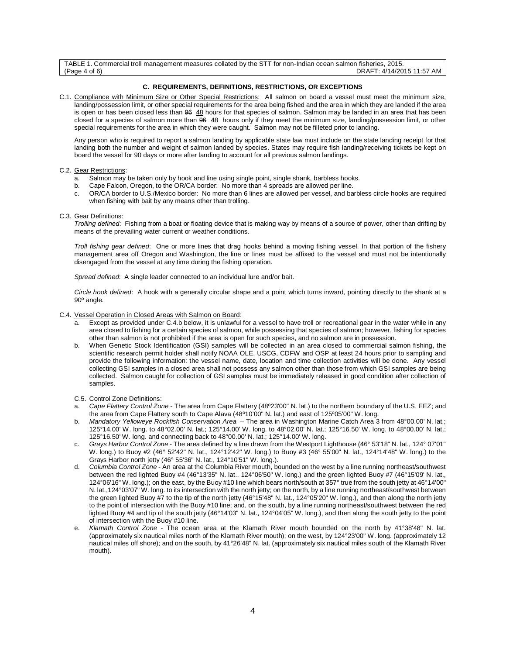TABLE 1. Commercial troll management measures collated by the STT for non-Indian ocean salmon fisheries, 2015. DRAFT: 4/14/2015 11:57 AM

# **C. REQUIREMENTS, DEFINITIONS, RESTRICTIONS, OR EXCEPTIONS**

C.1. Compliance with Minimum Size or Other Special Restrictions: All salmon on board a vessel must meet the minimum size, landing/possession limit, or other special requirements for the area being fished and the area in which they are landed if the area is open or has been closed less than 96 48 hours for that species of salmon. Salmon may be landed in an area that has been closed for a species of salmon more than 96 48 hours only if they meet the minimum size, landing/possession limit, or other special requirements for the area in which they were caught. Salmon may not be filleted prior to landing.

Any person who is required to report a salmon landing by applicable state law must include on the state landing receipt for that landing both the number and weight of salmon landed by species. States may require fish landing/receiving tickets be kept on board the vessel for 90 days or more after landing to account for all previous salmon landings.

### C.2. Gear Restrictions:

- a. Salmon may be taken only by hook and line using single point, single shank, barbless hooks.<br>b. Cane Falcon, Oregon, to the OR/CA border: No more than 4 spreads are allowed per line
- Cape Falcon, Oregon, to the OR/CA border: No more than 4 spreads are allowed per line.
- c. OR/CA border to U.S./Mexico border: No more than 6 lines are allowed per vessel, and barbless circle hooks are required when fishing with bait by any means other than trolling.

### C.3. Gear Definitions:

*Trolling defined*: Fishing from a boat or floating device that is making way by means of a source of power, other than drifting by means of the prevailing water current or weather conditions.

*Troll fishing gear defined*: One or more lines that drag hooks behind a moving fishing vessel. In that portion of the fishery management area off Oregon and Washington, the line or lines must be affixed to the vessel and must not be intentionally disengaged from the vessel at any time during the fishing operation.

*Spread defined*: A single leader connected to an individual lure and/or bait.

*Circle hook defined*: A hook with a generally circular shape and a point which turns inward, pointing directly to the shank at a 90º angle.

# C.4. Vessel Operation in Closed Areas with Salmon on Board:

- Except as provided under C.4.b below, it is unlawful for a vessel to have troll or recreational gear in the water while in any area closed to fishing for a certain species of salmon, while possessing that species of salmon; however, fishing for species other than salmon is not prohibited if the area is open for such species, and no salmon are in possession.
- b. When Genetic Stock Identification (GSI) samples will be collected in an area closed to commercial salmon fishing, the scientific research permit holder shall notify NOAA OLE, USCG, CDFW and OSP at least 24 hours prior to sampling and provide the following information: the vessel name, date, location and time collection activities will be done. Any vessel collecting GSI samples in a closed area shall not possess any salmon other than those from which GSI samples are being collected. Salmon caught for collection of GSI samples must be immediately released in good condition after collection of samples.
- C.5. Control Zone Definitions:
- a. *Cape Flattery Control Zone*  The area from Cape Flattery (48º23'00" N. lat.) to the northern boundary of the U.S. EEZ; and the area from Cape Flattery south to Cape Alava (48º10'00" N. lat.) and east of 125º05'00" W. long.
- b. *Mandatory Yelloweye Rockfish Conservation Area* The area in Washington Marine Catch Area 3 from 48°00.00' N. lat.; 125°14.00' W. long. to 48°02.00' N. lat.; 125°14.00' W. long. to 48°02.00' N. lat.; 125°16.50' W. long. to 48°00.00' N. lat.; 125°16.50' W. long. and connecting back to 48°00.00' N. lat.; 125°14.00' W. long.
- c. *Grays Harbor Control Zone* The area defined by a line drawn from the Westport Lighthouse (46° 53'18" N. lat., 124° 07'01" W. long.) to Buoy #2 (46° 52'42" N. lat., 124°12'42" W. long.) to Buoy #3 (46° 55'00" N. lat., 124°14'48" W. long.) to the Grays Harbor north jetty (46° 55'36" N. lat., 124°10'51" W. long.).
- d. *Columbia Control Zone* An area at the Columbia River mouth, bounded on the west by a line running northeast/southwest between the red lighted Buoy #4 (46°13'35" N. lat., 124°06'50" W. long.) and the green lighted Buoy #7 (46°15'09' N. lat., 124°06'16" W. long.); on the east, by the Buoy #10 line which bears north/south at 357° true from the south jetty at 46°14'00" N. lat.,124°03'07" W. long. to its intersection with the north jetty; on the north, by a line running northeast/southwest between the green lighted Buoy #7 to the tip of the north jetty (46°15'48" N. lat., 124°05'20" W. long.), and then along the north jetty to the point of intersection with the Buoy #10 line; and, on the south, by a line running northeast/southwest between the red lighted Buoy #4 and tip of the south jetty (46°14'03" N. lat., 124°04'05" W. long.), and then along the south jetty to the point of intersection with the Buoy #10 line.
- e. *Klamath Control Zone* The ocean area at the Klamath River mouth bounded on the north by 41°38'48" N. lat. (approximately six nautical miles north of the Klamath River mouth); on the west, by 124°23'00" W. long. (approximately 12 nautical miles off shore); and on the south, by 41°26'48" N. lat. (approximately six nautical miles south of the Klamath River mouth).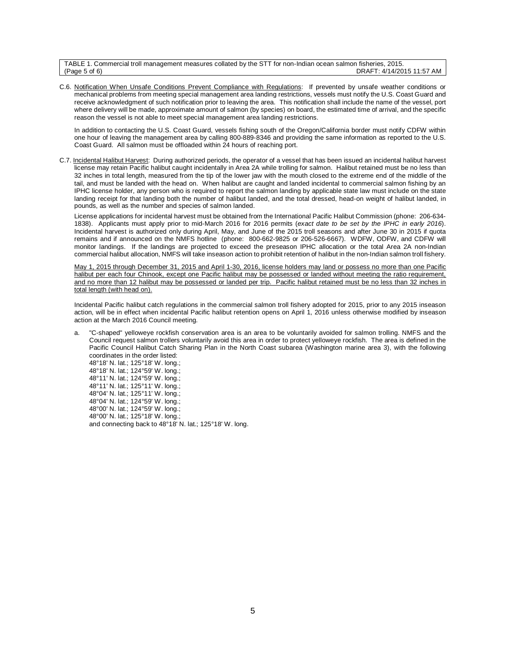TABLE 1. Commercial troll management measures collated by the STT for non-Indian ocean salmon fisheries, 2015. DRAFT: 4/14/2015 11:57 AM

C.6. Notification When Unsafe Conditions Prevent Compliance with Regulations: If prevented by unsafe weather conditions or mechanical problems from meeting special management area landing restrictions, vessels must notify the U.S. Coast Guard and receive acknowledgment of such notification prior to leaving the area. This notification shall include the name of the vessel, port where delivery will be made, approximate amount of salmon (by species) on board, the estimated time of arrival, and the specific reason the vessel is not able to meet special management area landing restrictions.

In addition to contacting the U.S. Coast Guard, vessels fishing south of the Oregon/California border must notify CDFW within one hour of leaving the management area by calling 800-889-8346 and providing the same information as reported to the U.S. Coast Guard. All salmon must be offloaded within 24 hours of reaching port.

C.7. Incidental Halibut Harvest: During authorized periods, the operator of a vessel that has been issued an incidental halibut harvest license may retain Pacific halibut caught incidentally in Area 2A while trolling for salmon. Halibut retained must be no less than 32 inches in total length, measured from the tip of the lower jaw with the mouth closed to the extreme end of the middle of the tail, and must be landed with the head on. When halibut are caught and landed incidental to commercial salmon fishing by an IPHC license holder, any person who is required to report the salmon landing by applicable state law must include on the state landing receipt for that landing both the number of halibut landed, and the total dressed, head-on weight of halibut landed, in pounds, as well as the number and species of salmon landed.

License applications for incidental harvest must be obtained from the International Pacific Halibut Commission (phone: 206-634- 1838). Applicants must apply prior to mid-March 2016 for 2016 permits (*exact date to be set by the IPHC in early 2016*). Incidental harvest is authorized only during April, May, and June of the 2015 troll seasons and after June 30 in 2015 if quota remains and if announced on the NMFS hotline (phone: 800-662-9825 or 206-526-6667). WDFW, ODFW, and CDFW will monitor landings. If the landings are projected to exceed the preseason IPHC allocation or the total Area 2A non-Indian commercial halibut allocation, NMFS will take inseason action to prohibit retention of halibut in the non-Indian salmon troll fishery.

May 1, 2015 through December 31, 2015 and April 1-30, 2016, license holders may land or possess no more than one Pacific halibut per each four Chinook, except one Pacific halibut may be possessed or landed without meeting the ratio requirement, and no more than 12 halibut may be possessed or landed per trip. Pacific halibut retained must be no less than 32 inches in total length (with head on).

Incidental Pacific halibut catch regulations in the commercial salmon troll fishery adopted for 2015, prior to any 2015 inseason action, will be in effect when incidental Pacific halibut retention opens on April 1, 2016 unless otherwise modified by inseason action at the March 2016 Council meeting.

a. "C-shaped" yelloweye rockfish conservation area is an area to be voluntarily avoided for salmon trolling. NMFS and the Council request salmon trollers voluntarily avoid this area in order to protect yelloweye rockfish. The area is defined in the Pacific Council Halibut Catch Sharing Plan in the North Coast subarea (Washington marine area 3), with the following coordinates in the order listed:

48°18' N. lat.; 125°18' W. long.; 48°18' N. lat.; 124°59' W. long.; 48°11' N. lat.; 124°59' W. long.; 48°11' N. lat.; 125°11' W. long.; 48°04' N. lat.; 125°11' W. long.; 48°04' N. lat.; 124°59' W. long.; 48°00' N. lat.; 124°59' W. long.; 48°00' N. lat.; 125°18' W. long.; and connecting back to 48°18' N. lat.; 125°18' W. long.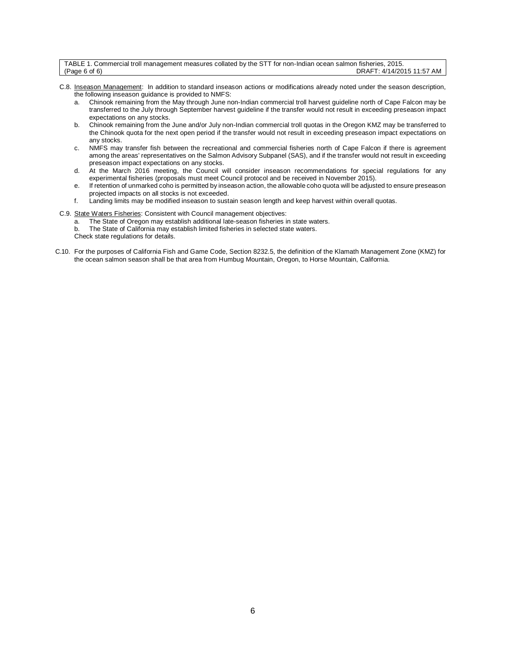| TABLE 1. Commercial troll management measures collated by the STT for non-Indian ocean salmon fisheries, 2015. |                           |
|----------------------------------------------------------------------------------------------------------------|---------------------------|
| (Page 6 of 6)                                                                                                  | DRAFT: 4/14/2015 11:57 AM |

- C.8. Inseason Management: In addition to standard inseason actions or modifications already noted under the season description, the following inseason guidance is provided to NMFS:
	- a. Chinook remaining from the May through June non-Indian commercial troll harvest guideline north of Cape Falcon may be transferred to the July through September harvest guideline if the transfer would not result in exceeding preseason impact expectations on any stocks.
	- b. Chinook remaining from the June and/or July non-Indian commercial troll quotas in the Oregon KMZ may be transferred to the Chinook quota for the next open period if the transfer would not result in exceeding preseason impact expectations on any stocks.
	- c. NMFS may transfer fish between the recreational and commercial fisheries north of Cape Falcon if there is agreement among the areas' representatives on the Salmon Advisory Subpanel (SAS), and if the transfer would not result in exceeding preseason impact expectations on any stocks.
	- d. At the March 2016 meeting, the Council will consider inseason recommendations for special regulations for any experimental fisheries (proposals must meet Council protocol and be received in November 2015).
	- e. If retention of unmarked coho is permitted by inseason action, the allowable coho quota will be adjusted to ensure preseason projected impacts on all stocks is not exceeded.
	- f. Landing limits may be modified inseason to sustain season length and keep harvest within overall quotas.
- C.9. State Waters Fisheries: Consistent with Council management objectives:
	- a. The State of Oregon may establish additional late-season fisheries in state waters.
	- b. The State of California may establish limited fisheries in selected state waters. Check state regulations for details.
- C.10. For the purposes of California Fish and Game Code, Section 8232.5, the definition of the Klamath Management Zone (KMZ) for the ocean salmon season shall be that area from Humbug Mountain, Oregon, to Horse Mountain, California.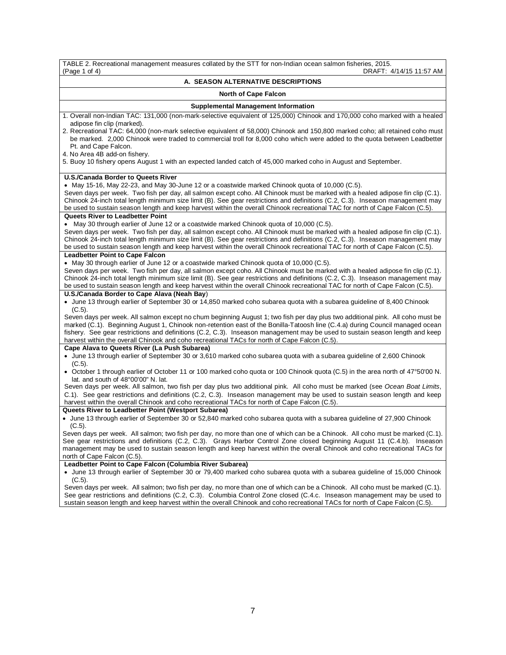| TABLE 2. Recreational management measures collated by the STT for non-Indian ocean salmon fisheries, 2015.                                                                                                                                                                                                                                                                                                                                                                                       |
|--------------------------------------------------------------------------------------------------------------------------------------------------------------------------------------------------------------------------------------------------------------------------------------------------------------------------------------------------------------------------------------------------------------------------------------------------------------------------------------------------|
| (Page 1 of 4)<br>DRAFT: 4/14/15 11:57 AM                                                                                                                                                                                                                                                                                                                                                                                                                                                         |
| A.  SEASON ALTERNATIVE DESCRIPTIONS                                                                                                                                                                                                                                                                                                                                                                                                                                                              |
| <b>North of Cape Falcon</b>                                                                                                                                                                                                                                                                                                                                                                                                                                                                      |
| <b>Supplemental Management Information</b>                                                                                                                                                                                                                                                                                                                                                                                                                                                       |
| 1. Overall non-Indian TAC: 131,000 (non-mark-selective equivalent of 125,000) Chinook and 170,000 coho marked with a healed<br>adipose fin clip (marked).                                                                                                                                                                                                                                                                                                                                        |
| 2. Recreational TAC: 64,000 (non-mark selective equivalent of 58,000) Chinook and 150,800 marked coho; all retained coho must<br>be marked. 2,000 Chinook were traded to commercial troll for 8,000 coho which were added to the quota between Leadbetter<br>Pt. and Cape Falcon.                                                                                                                                                                                                                |
| 4. No Area 4B add-on fishery.<br>5. Buoy 10 fishery opens August 1 with an expected landed catch of 45,000 marked coho in August and September.                                                                                                                                                                                                                                                                                                                                                  |
| <b>U.S./Canada Border to Queets River</b>                                                                                                                                                                                                                                                                                                                                                                                                                                                        |
| • May 15-16, May 22-23, and May 30-June 12 or a coastwide marked Chinook quota of 10,000 (C.5).                                                                                                                                                                                                                                                                                                                                                                                                  |
| Seven days per week. Two fish per day, all salmon except coho. All Chinook must be marked with a healed adipose fin clip (C.1).<br>Chinook 24-inch total length minimum size limit (B). See gear restrictions and definitions (C.2, C.3). Inseason management may                                                                                                                                                                                                                                |
| be used to sustain season length and keep harvest within the overall Chinook recreational TAC for north of Cape Falcon (C.5).                                                                                                                                                                                                                                                                                                                                                                    |
| <b>Queets River to Leadbetter Point</b>                                                                                                                                                                                                                                                                                                                                                                                                                                                          |
| May 30 through earlier of June 12 or a coastwide marked Chinook quota of 10,000 (C.5).                                                                                                                                                                                                                                                                                                                                                                                                           |
| Seven days per week. Two fish per day, all salmon except coho. All Chinook must be marked with a healed adipose fin clip (C.1).<br>Chinook 24-inch total length minimum size limit (B). See gear restrictions and definitions (C.2, C.3). Inseason management may                                                                                                                                                                                                                                |
| be used to sustain season length and keep harvest within the overall Chinook recreational TAC for north of Cape Falcon (C.5).                                                                                                                                                                                                                                                                                                                                                                    |
| <b>Leadbetter Point to Cape Falcon</b>                                                                                                                                                                                                                                                                                                                                                                                                                                                           |
| • May 30 through earlier of June 12 or a coastwide marked Chinook quota of 10,000 (C.5).                                                                                                                                                                                                                                                                                                                                                                                                         |
| Seven days per week. Two fish per day, all salmon except coho. All Chinook must be marked with a healed adipose fin clip (C.1).<br>Chinook 24-inch total length minimum size limit (B). See gear restrictions and definitions (C.2, C.3). Inseason management may<br>be used to sustain season length and keep harvest within the overall Chinook recreational TAC for north of Cape Falcon (C.5).                                                                                               |
| U.S./Canada Border to Cape Alava (Neah Bay)                                                                                                                                                                                                                                                                                                                                                                                                                                                      |
| • June 13 through earlier of September 30 or 14,850 marked coho subarea quota with a subarea guideline of 8,400 Chinook<br>$(C.5)$ .                                                                                                                                                                                                                                                                                                                                                             |
| Seven days per week. All salmon except no chum beginning August 1; two fish per day plus two additional pink. All coho must be<br>marked (C.1). Beginning August 1, Chinook non-retention east of the Bonilla-Tatoosh line (C.4.a) during Council managed ocean<br>fishery. See gear restrictions and definitions (C.2, C.3). Inseason management may be used to sustain season length and keep<br>harvest within the overall Chinook and coho recreational TACs for north of Cape Falcon (C.5). |
| Cape Alava to Queets River (La Push Subarea)                                                                                                                                                                                                                                                                                                                                                                                                                                                     |
| • June 13 through earlier of September 30 or 3,610 marked coho subarea quota with a subarea guideline of 2,600 Chinook<br>$(C.5)$ .                                                                                                                                                                                                                                                                                                                                                              |
| • October 1 through earlier of October 11 or 100 marked coho quota or 100 Chinook quota (C.5) in the area north of 47°50'00 N.<br>lat. and south of 48°00'00" N. lat.                                                                                                                                                                                                                                                                                                                            |
| Seven days per week. All salmon, two fish per day plus two additional pink. All coho must be marked (see Ocean Boat Limits,                                                                                                                                                                                                                                                                                                                                                                      |
| C.1). See gear restrictions and definitions (C.2, C.3). Inseason management may be used to sustain season length and keep<br>harvest within the overall Chinook and coho recreational TACs for north of Cape Falcon (C.5).                                                                                                                                                                                                                                                                       |
| Queets River to Leadbetter Point (Westport Subarea)                                                                                                                                                                                                                                                                                                                                                                                                                                              |
| • June 13 through earlier of September 30 or 52,840 marked coho subarea quota with a subarea guideline of 27,900 Chinook<br>$(C.5)$ .                                                                                                                                                                                                                                                                                                                                                            |
| Seven days per week. All salmon; two fish per day, no more than one of which can be a Chinook. All coho must be marked (C.1).<br>See gear restrictions and definitions (C.2, C.3). Grays Harbor Control Zone closed beginning August 11 (C.4.b). Inseason<br>management may be used to sustain season length and keep harvest within the overall Chinook and coho recreational TACs for                                                                                                          |
| north of Cape Falcon (C.5).                                                                                                                                                                                                                                                                                                                                                                                                                                                                      |
| Leadbetter Point to Cape Falcon (Columbia River Subarea)<br>• June 13 through earlier of September 30 or 79,400 marked coho subarea quota with a subarea guideline of 15,000 Chinook                                                                                                                                                                                                                                                                                                             |
| $(C.5)$ .<br>Seven days per week. All salmon; two fish per day, no more than one of which can be a Chinook. All coho must be marked (C.1).                                                                                                                                                                                                                                                                                                                                                       |

See gear restrictions and definitions (C.2, C.3). Columbia Control Zone closed (C.4.c. Inseason management may be used to sustain season length and keep harvest within the overall Chinook and coho recreational TACs for north of Cape Falcon (C.5).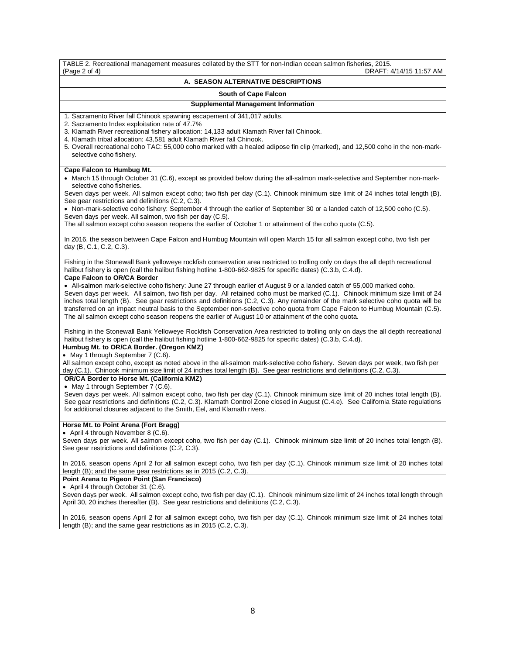TABLE 2. Recreational management measures collated by the STT for non-Indian ocean salmon fisheries, 2015. DRAFT: 4/14/15 11:57 AM **A. SEASON ALTERNATIVE DESCRIPTIONS South of Cape Falcon Supplemental Management Information** 1. Sacramento River fall Chinook spawning escapement of 341,017 adults. 2. Sacramento Index exploitation rate of 47.7% 3. Klamath River recreational fishery allocation: 14,133 adult Klamath River fall Chinook. 4. Klamath tribal allocation: 43,581 adult Klamath River fall Chinook. 5. Overall recreational coho TAC: 55,000 coho marked with a healed adipose fin clip (marked), and 12,500 coho in the non-markselective coho fishery. **Cape Falcon to Humbug Mt.** • March 15 through October 31 (C.6), except as provided below during the all-salmon mark-selective and September non-markselective coho fisheries. Seven days per week. All salmon except coho; two fish per day (C.1). Chinook minimum size limit of 24 inches total length (B). See gear restrictions and definitions (C.2, C.3). • Non-mark-selective coho fishery: September 4 through the earlier of September 30 or a landed catch of 12,500 coho (C.5). Seven days per week. All salmon, two fish per day (C.5). The all salmon except coho season reopens the earlier of October 1 or attainment of the coho quota (C.5). In 2016, the season between Cape Falcon and Humbug Mountain will open March 15 for all salmon except coho, two fish per day (B, C.1, C.2, C.3). Fishing in the Stonewall Bank yelloweye rockfish conservation area restricted to trolling only on days the all depth recreational halibut fishery is open (call the halibut fishing hotline 1-800-662-9825 for specific dates) (C.3.b, C.4.d). **Cape Falcon to OR/CA Border** • All**-**salmon mark-selective coho fishery: June 27 through earlier of August 9 or a landed catch of 55,000 marked coho. Seven days per week. All salmon, two fish per day. All retained coho must be marked (C.1). Chinook minimum size limit of 24 inches total length (B). See gear restrictions and definitions (C.2, C.3). Any remainder of the mark selective coho quota will be transferred on an impact neutral basis to the September non-selective coho quota from Cape Falcon to Humbug Mountain (C.5). The all salmon except coho season reopens the earlier of August 10 or attainment of the coho quota. Fishing in the Stonewall Bank Yelloweye Rockfish Conservation Area restricted to trolling only on days the all depth recreational halibut fishery is open (call the halibut fishing hotline 1-800-662-9825 for specific dates) (C.3.b, C.4.d). **Humbug Mt. to OR/CA Border. (Oregon KMZ)** • May 1 through September 7 (C.6). All salmon except coho, except as noted above in the all-salmon mark-selective coho fishery. Seven days per week, two fish per day (C.1). Chinook minimum size limit of 24 inches total length (B). See gear restrictions and definitions (C.2, C.3). **OR/CA Border to Horse Mt. (California KMZ)** • May 1 through September 7 (C.6). Seven days per week. All salmon except coho, two fish per day (C.1). Chinook minimum size limit of 20 inches total length (B). See gear restrictions and definitions (C.2, C.3). Klamath Control Zone closed in August (C.4.e). See California State regulations for additional closures adjacent to the Smith, Eel, and Klamath rivers. **Horse Mt. to Point Arena (Fort Bragg)** • April 4 through November 8 (C.6). Seven days per week. All salmon except coho, two fish per day (C.1). Chinook minimum size limit of 20 inches total length (B). See gear restrictions and definitions (C.2, C.3). In 2016, season opens April 2 for all salmon except coho, two fish per day (C.1). Chinook minimum size limit of 20 inches total length (B); and the same gear restrictions as in 2015 (C.2, C.3). **Point Arena to Pigeon Point (San Francisco)** • April 4 through October 31 (C.6). Seven days per week. All salmon except coho, two fish per day (C.1). Chinook minimum size limit of 24 inches total length through April 30, 20 inches thereafter (B). See gear restrictions and definitions (C.2, C.3). In 2016, season opens April 2 for all salmon except coho, two fish per day (C.1). Chinook minimum size limit of 24 inches total

length (B); and the same gear restrictions as in 2015 (C.2, C.3).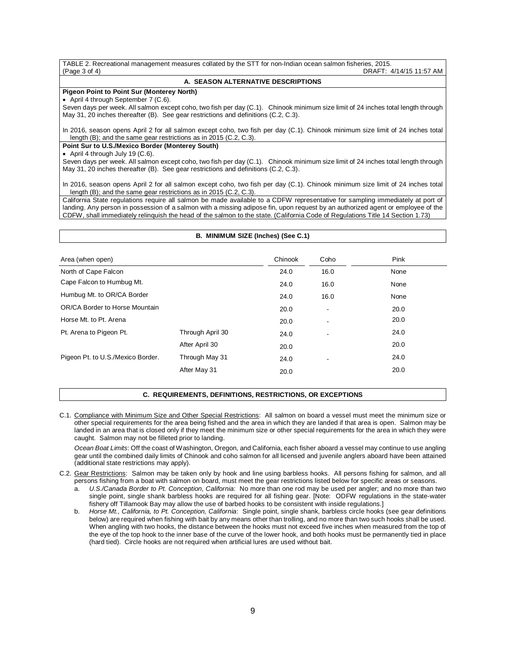TABLE 2. Recreational management measures collated by the STT for non-Indian ocean salmon fisheries, 2015.<br>A DRAFT: 4 DRAFT: 4/14/15 11:57 AM

# **A. SEASON ALTERNATIVE DESCRIPTIONS**

# **Pigeon Point to Point Sur (Monterey North)**

• April 4 through September 7 (C.6).

Seven days per week. All salmon except coho, two fish per day (C.1). Chinook minimum size limit of 24 inches total length through May 31, 20 inches thereafter (B). See gear restrictions and definitions (C.2, C.3).

In 2016, season opens April 2 for all salmon except coho, two fish per day (C.1). Chinook minimum size limit of 24 inches total length (B); and the same gear restrictions as in 2015 (C.2, C.3).

# **Point Sur to U.S./Mexico Border (Monterey South)**

• April 4 through July 19 (C.6).

Seven days per week. All salmon except coho, two fish per day (C.1). Chinook minimum size limit of 24 inches total length through May 31, 20 inches thereafter (B). See gear restrictions and definitions (C.2, C.3).

In 2016, season opens April 2 for all salmon except coho, two fish per day (C.1). Chinook minimum size limit of 24 inches total length (B); and the same gear restrictions as in 2015 (C.2, C.3).

California State regulations require all salmon be made available to a CDFW representative for sampling immediately at port of landing. Any person in possession of a salmon with a missing adipose fin, upon request by an authorized agent or employee of the CDFW, shall immediately relinquish the head of the salmon to the state. (California Code of Regulations Title 14 Section 1.73)

# **B. MINIMUM SIZE (Inches) (See C.1)**

| Area (when open)                  |                  | Chinook | Coho | Pink |
|-----------------------------------|------------------|---------|------|------|
| North of Cape Falcon              |                  | 24.0    | 16.0 | None |
| Cape Falcon to Humbug Mt.         |                  | 24.0    | 16.0 | None |
| Humbug Mt. to OR/CA Border        |                  | 24.0    | 16.0 | None |
| OR/CA Border to Horse Mountain    | 20.0             | ٠       | 20.0 |      |
| Horse Mt. to Pt. Arena            |                  | 20.0    | ٠    | 20.0 |
| Pt. Arena to Pigeon Pt.           | Through April 30 | 24.0    |      | 24.0 |
|                                   | After April 30   | 20.0    |      | 20.0 |
| Pigeon Pt. to U.S./Mexico Border. | Through May 31   | 24.0    | ٠    | 24.0 |
|                                   | After May 31     | 20.0    |      | 20.0 |

### **C. REQUIREMENTS, DEFINITIONS, RESTRICTIONS, OR EXCEPTIONS**

C.1. Compliance with Minimum Size and Other Special Restrictions: All salmon on board a vessel must meet the minimum size or other special requirements for the area being fished and the area in which they are landed if that area is open. Salmon may be landed in an area that is closed only if they meet the minimum size or other special requirements for the area in which they were caught. Salmon may not be filleted prior to landing.

*Ocean Boat Limits*: Off the coast of Washington, Oregon, and California, each fisher aboard a vessel may continue to use angling gear until the combined daily limits of Chinook and coho salmon for all licensed and juvenile anglers aboard have been attained (additional state restrictions may apply).

- C.2. Gear Restrictions: Salmon may be taken only by hook and line using barbless hooks. All persons fishing for salmon, and all persons fishing from a boat with salmon on board, must meet the gear restrictions listed below for specific areas or seasons.
	- a. *U.S./Canada Border to Pt. Conception, California*: No more than one rod may be used per angler; and no more than two single point, single shank barbless hooks are required for all fishing gear. [Note: ODFW regulations in the state-water fishery off Tillamook Bay may allow the use of barbed hooks to be consistent with inside regulations.]
	- b. *Horse Mt., California, to Pt. Conception, California*: Single point, single shank, barbless circle hooks (see gear definitions below) are required when fishing with bait by any means other than trolling, and no more than two such hooks shall be used. When angling with two hooks, the distance between the hooks must not exceed five inches when measured from the top of the eye of the top hook to the inner base of the curve of the lower hook, and both hooks must be permanently tied in place (hard tied). Circle hooks are not required when artificial lures are used without bait.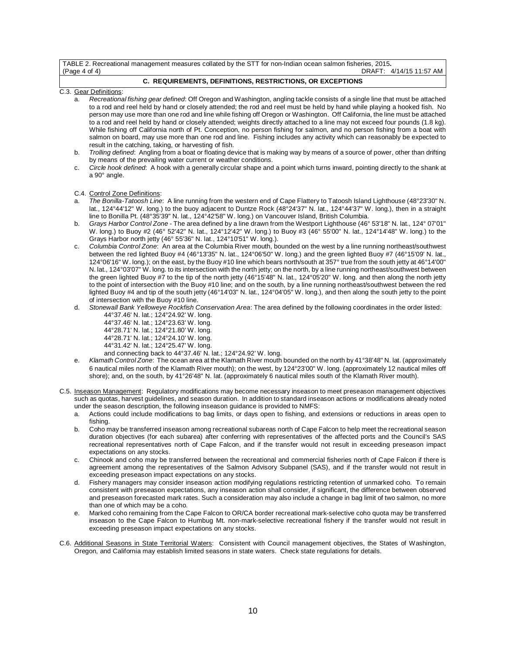TABLE 2. Recreational management measures collated by the STT for non-Indian ocean salmon fisheries, 2015**.** DRAFT: 4/14/15 11:57 AM

# **C. REQUIREMENTS, DEFINITIONS, RESTRICTIONS, OR EXCEPTIONS**

- C.3. Gear Definitions:
	- a. *Recreational fishing gear defined*: Off Oregon and Washington, angling tackle consists of a single line that must be attached to a rod and reel held by hand or closely attended; the rod and reel must be held by hand while playing a hooked fish. No person may use more than one rod and line while fishing off Oregon or Washington. Off California, the line must be attached to a rod and reel held by hand or closely attended; weights directly attached to a line may not exceed four pounds (1.8 kg). While fishing off California north of Pt. Conception, no person fishing for salmon, and no person fishing from a boat with salmon on board, may use more than one rod and line. Fishing includes any activity which can reasonably be expected to result in the catching, taking, or harvesting of fish.
	- b. *Trolling defined*: Angling from a boat or floating device that is making way by means of a source of power, other than drifting by means of the prevailing water current or weather conditions.
	- c. *Circle hook defined*: A hook with a generally circular shape and a point which turns inward, pointing directly to the shank at a 90° angle.

C.4. Control Zone Definitions:

- a. *The Bonilla-Tatoosh Line*: A line running from the western end of Cape Flattery to Tatoosh Island Lighthouse (48°23'30" N. lat., 124°44'12" W. long.) to the buoy adjacent to Duntze Rock (48°24'37" N. lat., 124°44'37" W. long.), then in a straight line to Bonilla Pt. (48°35'39" N. lat., 124°42'58" W. long.) on Vancouver Island, British Columbia.
- b. *Grays Harbor Control Zone* The area defined by a line drawn from the Westport Lighthouse (46° 53'18" N. lat., 124° 07'01" W. long.) to Buoy #2 (46° 52'42" N. lat., 124°12'42" W. long.) to Buoy #3 (46° 55'00" N. lat., 124°14'48" W. long.) to the Grays Harbor north jetty (46° 55'36" N. lat., 124°10'51" W. long.).
- c. *Columbia Control Zone*: An area at the Columbia River mouth, bounded on the west by a line running northeast/southwest between the red lighted Buoy #4 (46°13'35" N. lat., 124°06'50" W. long.) and the green lighted Buoy #7 (46°15'09' N. lat., 124°06'16" W. long.); on the east, by the Buoy #10 line which bears north/south at 357° true from the south jetty at 46°14'00" N. lat., 124°03'07" W. long. to its intersection with the north jetty; on the north, by a line running northeast/southwest between the green lighted Buoy #7 to the tip of the north jetty (46°15'48" N. lat., 124°05'20" W. long. and then along the north jetty to the point of intersection with the Buoy #10 line; and on the south, by a line running northeast/southwest between the red lighted Buoy #4 and tip of the south jetty (46°14'03" N. lat., 124°04'05" W. long.), and then along the south jetty to the point of intersection with the Buoy #10 line.
- d. *Stonewall Bank Yelloweye Rockfish Conservation Area*: The area defined by the following coordinates in the order listed: 44°37.46' N. lat.; 124°24.92' W. long.
	- 44°37.46' N. lat.; 124°23.63' W. long.
	- 44°28.71' N. lat.; 124°21.80' W. long.
	- 44°28.71' N. lat.; 124°24.10' W. long.
	- 44°31.42' N. lat.; 124°25.47' W. long.
	- and connecting back to 44°37.46' N. lat.; 124°24.92' W. long.
- e. *Klamath Control Zone*: The ocean area at the Klamath River mouth bounded on the north by 41°38'48" N. lat. (approximately 6 nautical miles north of the Klamath River mouth); on the west, by 124°23'00" W. long. (approximately 12 nautical miles off shore); and, on the south, by 41°26'48" N. lat. (approximately 6 nautical miles south of the Klamath River mouth).
- C.5. Inseason Management: Regulatory modifications may become necessary inseason to meet preseason management objectives such as quotas, harvest guidelines, and season duration. In addition to standard inseason actions or modifications already noted under the season description, the following inseason guidance is provided to NMFS:
	- a. Actions could include modifications to bag limits, or days open to fishing, and extensions or reductions in areas open to fishing.
	- b. Coho may be transferred inseason among recreational subareas north of Cape Falcon to help meet the recreational season duration objectives (for each subarea) after conferring with representatives of the affected ports and the Council's SAS recreational representatives north of Cape Falcon, and if the transfer would not result in exceeding preseason impact expectations on any stocks.
	- c. Chinook and coho may be transferred between the recreational and commercial fisheries north of Cape Falcon if there is agreement among the representatives of the Salmon Advisory Subpanel (SAS), and if the transfer would not result in exceeding preseason impact expectations on any stocks.
	- d. Fishery managers may consider inseason action modifying regulations restricting retention of unmarked coho. To remain consistent with preseason expectations, any inseason action shall consider, if significant, the difference between observed and preseason forecasted mark rates. Such a consideration may also include a change in bag limit of two salmon, no more than one of which may be a coho.
	- Marked coho remaining from the Cape Falcon to OR/CA border recreational mark-selective coho quota may be transferred inseason to the Cape Falcon to Humbug Mt. non-mark-selective recreational fishery if the transfer would not result in exceeding preseason impact expectations on any stocks.
- C.6. Additional Seasons in State Territorial Waters: Consistent with Council management objectives, the States of Washington, Oregon, and California may establish limited seasons in state waters. Check state regulations for details.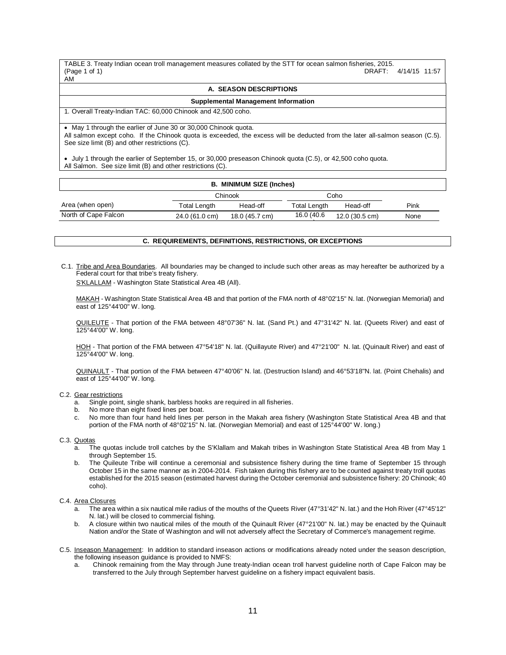TABLE 3. Treaty Indian ocean troll management measures collated by the STT for ocean salmon fisheries, 2015. DRAFT: 4/14/15 11:57 AM

### **A. SEASON DESCRIPTIONS**

## **Supplemental Management Information**

1. Overall Treaty-Indian TAC: 60,000 Chinook and 42,500 coho.

• May 1 through the earlier of June 30 or 30,000 Chinook quota.

All salmon except coho. If the Chinook quota is exceeded, the excess will be deducted from the later all-salmon season (C.5). See size limit (B) and other restrictions (C).

• July 1 through the earlier of September 15, or 30,000 preseason Chinook quota (C.5), or 42,500 coho quota. All Salmon. See size limit (B) and other restrictions (C).

| <b>B. MINIMUM SIZE (Inches)</b> |                |                |                     |                |      |  |  |
|---------------------------------|----------------|----------------|---------------------|----------------|------|--|--|
|                                 |                | Chinook        | Coho                |                |      |  |  |
| Area (when open)                | Total Length   | Head-off       | <b>Total Length</b> | Head-off       | Pink |  |  |
| North of Cape Falcon            | 24.0 (61.0 cm) | 18.0 (45.7 cm) | 16.0 (40.6)         | 12.0 (30.5 cm) | None |  |  |

# **C. REQUIREMENTS, DEFINITIONS, RESTRICTIONS, OR EXCEPTIONS**

C.1. Tribe and Area Boundaries. All boundaries may be changed to include such other areas as may hereafter be authorized by a Federal court for that tribe's treaty fishery.

S'KLALLAM - Washington State Statistical Area 4B (All).

MAKAH - Washington State Statistical Area 4B and that portion of the FMA north of 48°02'15" N. lat. (Norwegian Memorial) and east of 125°44'00" W. long.

QUILEUTE - That portion of the FMA between 48°07'36" N. lat. (Sand Pt.) and 47°31'42" N. lat. (Queets River) and east of 125°44'00" W. long.

HOH - That portion of the FMA between 47°54'18" N. lat. (Quillayute River) and 47°21'00" N. lat. (Quinault River) and east of 125°44'00" W. long.

QUINAULT - That portion of the FMA between 47°40'06" N. lat. (Destruction Island) and 46°53'18"N. lat. (Point Chehalis) and east of 125°44'00" W. long.

### C.2. Gear restrictions

- Single point, single shank, barbless hooks are required in all fisheries. a. Single point, single shank, barbless hoch. No more than eight fixed lines per boat.
- 
- c. No more than four hand held lines per person in the Makah area fishery (Washington State Statistical Area 4B and that portion of the FMA north of 48°02'15" N. lat. (Norwegian Memorial) and east of 125°44'00" W. long.)

### C.3. Quotas

- a. The quotas include troll catches by the S'Klallam and Makah tribes in Washington State Statistical Area 4B from May 1 through September 15.
- b. The Quileute Tribe will continue a ceremonial and subsistence fishery during the time frame of September 15 through October 15 in the same manner as in 2004-2014. Fish taken during this fishery are to be counted against treaty troll quotas established for the 2015 season (estimated harvest during the October ceremonial and subsistence fishery: 20 Chinook; 40 coho).

# C.4. Area Closures

- a. The area within a six nautical mile radius of the mouths of the Queets River (47°31'42" N. lat.) and the Hoh River (47°45'12" N. lat.) will be closed to commercial fishing.
- b. A closure within two nautical miles of the mouth of the Quinault River (47°21'00" N. lat.) may be enacted by the Quinault Nation and/or the State of Washington and will not adversely affect the Secretary of Commerce's management regime.
- C.5. Inseason Management: In addition to standard inseason actions or modifications already noted under the season description, the following inseason guidance is provided to NMFS:
	- a. Chinook remaining from the May through June treaty-Indian ocean troll harvest guideline north of Cape Falcon may be transferred to the July through September harvest guideline on a fishery impact equivalent basis.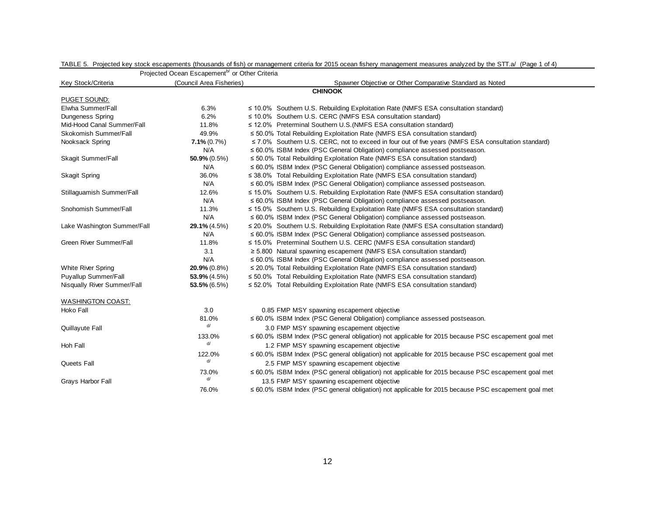|                             | Projected Ocean Escapement <sup>b/</sup> or Other Criteria                           |                                                                                                          |  |  |  |  |  |
|-----------------------------|--------------------------------------------------------------------------------------|----------------------------------------------------------------------------------------------------------|--|--|--|--|--|
| Key Stock/Criteria          | (Council Area Fisheries)<br>Spawner Objective or Other Comparative Standard as Noted |                                                                                                          |  |  |  |  |  |
| <b>CHINOOK</b>              |                                                                                      |                                                                                                          |  |  |  |  |  |
| PUGET SOUND:                |                                                                                      |                                                                                                          |  |  |  |  |  |
| Elwha Summer/Fall           | 6.3%                                                                                 | $\leq$ 10.0% Southern U.S. Rebuilding Exploitation Rate (NMFS ESA consultation standard)                 |  |  |  |  |  |
| <b>Dungeness Spring</b>     | 6.2%                                                                                 | $\leq$ 10.0% Southern U.S. CERC (NMFS ESA consultation standard)                                         |  |  |  |  |  |
| Mid-Hood Canal Summer/Fall  | 11.8%                                                                                | ≤ 12.0% Preterminal Southern U.S. (NMFS ESA consultation standard)                                       |  |  |  |  |  |
| Skokomish Summer/Fall       | 49.9%                                                                                | ≤ 50.0% Total Rebuilding Exploitation Rate (NMFS ESA consultation standard)                              |  |  |  |  |  |
| Nooksack Spring             | $7.1\% (0.7\%)$                                                                      | $\leq$ 7.0% Southern U.S. CERC, not to exceed in four out of five years (NMFS ESA consultation standard) |  |  |  |  |  |
|                             | N/A                                                                                  | $\leq 60.0\%$ ISBM Index (PSC General Obligation) compliance assessed postseason.                        |  |  |  |  |  |
| Skagit Summer/Fall          | $50.9\% (0.5\%)$                                                                     | $\leq$ 50.0% Total Rebuilding Exploitation Rate (NMFS ESA consultation standard)                         |  |  |  |  |  |
|                             | N/A                                                                                  | $\leq 60.0\%$ ISBM Index (PSC General Obligation) compliance assessed postseason.                        |  |  |  |  |  |
| <b>Skagit Spring</b>        | 36.0%                                                                                | $\leq$ 38.0% Total Rebuilding Exploitation Rate (NMFS ESA consultation standard)                         |  |  |  |  |  |
|                             | N/A                                                                                  | $\leq 60.0\%$ ISBM Index (PSC General Obligation) compliance assessed postseason.                        |  |  |  |  |  |
| Stillaguamish Summer/Fall   | 12.6%                                                                                | ≤ 15.0% Southern U.S. Rebuilding Exploitation Rate (NMFS ESA consultation standard)                      |  |  |  |  |  |
|                             | N/A                                                                                  | $\leq 60.0\%$ ISBM Index (PSC General Obligation) compliance assessed postseason.                        |  |  |  |  |  |
| Snohomish Summer/Fall       | 11.3%                                                                                | $\leq$ 15.0% Southern U.S. Rebuilding Exploitation Rate (NMFS ESA consultation standard)                 |  |  |  |  |  |
|                             | N/A                                                                                  | $\leq 60.0\%$ ISBM Index (PSC General Obligation) compliance assessed postseason.                        |  |  |  |  |  |
| Lake Washington Summer/Fall | $29.1\% (4.5\%)$                                                                     | $\leq$ 20.0% Southern U.S. Rebuilding Exploitation Rate (NMFS ESA consultation standard)                 |  |  |  |  |  |
|                             | N/A                                                                                  | $\leq 60.0\%$ ISBM Index (PSC General Obligation) compliance assessed postseason.                        |  |  |  |  |  |
| Green River Summer/Fall     | 11.8%                                                                                | ≤ 15.0% Preterminal Southern U.S. CERC (NMFS ESA consultation standard)                                  |  |  |  |  |  |
|                             | 3.1                                                                                  | $\ge$ 5.800 Natural spawning escapement (NMFS ESA consultation standard)                                 |  |  |  |  |  |
|                             | N/A                                                                                  | ≤ 60.0% ISBM Index (PSC General Obligation) compliance assessed postseason.                              |  |  |  |  |  |
| <b>White River Spring</b>   | $20.9\%$ (0.8%)                                                                      | $\leq$ 20.0% Total Rebuilding Exploitation Rate (NMFS ESA consultation standard)                         |  |  |  |  |  |
| <b>Puyallup Summer/Fall</b> | $53.9\%$ (4.5%)                                                                      | $\leq$ 50.0% Total Rebuilding Exploitation Rate (NMFS ESA consultation standard)                         |  |  |  |  |  |
| Nisqually River Summer/Fall | $53.5\%$ (6.5%)                                                                      | $\leq$ 52.0% Total Rebuilding Exploitation Rate (NMFS ESA consultation standard)                         |  |  |  |  |  |
| <b>WASHINGTON COAST:</b>    |                                                                                      |                                                                                                          |  |  |  |  |  |
| Hoko Fall                   | 3.0                                                                                  | 0.85 FMP MSY spawning escapement objective                                                               |  |  |  |  |  |
|                             | 81.0%                                                                                | ≤ 60.0% ISBM Index (PSC General Obligation) compliance assessed postseason.                              |  |  |  |  |  |
| Quillayute Fall             | d/                                                                                   | 3.0 FMP MSY spawning escapement objective                                                                |  |  |  |  |  |
|                             | 133.0%                                                                               | ≤ 60.0% ISBM Index (PSC general obligation) not applicable for 2015 because PSC escapement goal met      |  |  |  |  |  |
| Hoh Fall                    | d/                                                                                   | 1.2 FMP MSY spawning escapement objective                                                                |  |  |  |  |  |
|                             | 122.0%                                                                               | ≤ 60.0% ISBM Index (PSC general obligation) not applicable for 2015 because PSC escapement goal met      |  |  |  |  |  |
| Queets Fall                 | d/                                                                                   | 2.5 FMP MSY spawning escapement objective                                                                |  |  |  |  |  |
|                             | 73.0%                                                                                | ≤ 60.0% ISBM Index (PSC general obligation) not applicable for 2015 because PSC escapement goal met      |  |  |  |  |  |
|                             | d/                                                                                   |                                                                                                          |  |  |  |  |  |
| Grays Harbor Fall           |                                                                                      | 13.5 FMP MSY spawning escapement objective                                                               |  |  |  |  |  |
|                             | 76.0%                                                                                | ≤ 60.0% ISBM Index (PSC general obligation) not applicable for 2015 because PSC escapement goal met      |  |  |  |  |  |

TABLE 5. Projected key stock escapements (thousands of fish) or management criteria for 2015 ocean fishery management measures analyzed by the STT.a/ (Page 1 of 4)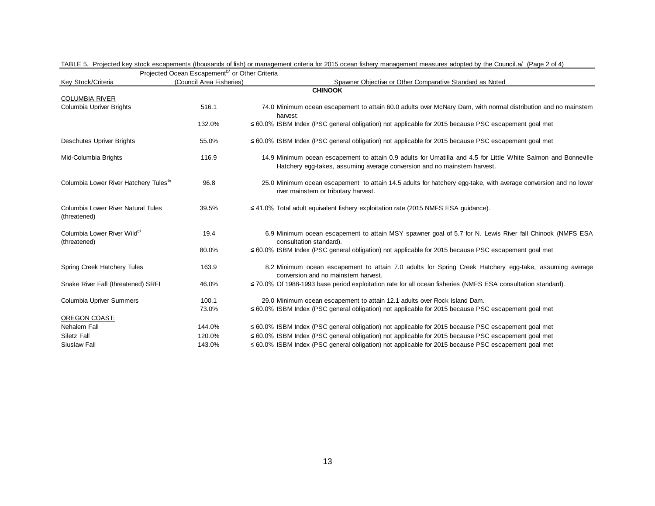| Key Stock/Criteria                                      | i iyectey Ocean Escapement - or Other Chiena<br>(Council Area Fisheries) | Spawner Objective or Other Comparative Standard as Noted                                                                                                                                   |
|---------------------------------------------------------|--------------------------------------------------------------------------|--------------------------------------------------------------------------------------------------------------------------------------------------------------------------------------------|
|                                                         |                                                                          | <b>CHINOOK</b>                                                                                                                                                                             |
| <b>COLUMBIA RIVER</b>                                   |                                                                          |                                                                                                                                                                                            |
| <b>Columbia Upriver Brights</b>                         | 516.1                                                                    | 74.0 Minimum ocean escapement to attain 60.0 adults over McNary Dam, with normal distribution and no mainstem<br>harvest.                                                                  |
|                                                         | 132.0%                                                                   | $\leq 60.0\%$ ISBM Index (PSC general obligation) not applicable for 2015 because PSC escapement goal met                                                                                  |
| <b>Deschutes Upriver Brights</b>                        | 55.0%                                                                    | $\leq 60.0\%$ ISBM Index (PSC general obligation) not applicable for 2015 because PSC escapement goal met                                                                                  |
| Mid-Columbia Brights                                    | 116.9                                                                    | 14.9 Minimum ocean escapement to attain 0.9 adults for Umatilla and 4.5 for Little White Salmon and Bonneville<br>Hatchery egg-takes, assuming average conversion and no mainstem harvest. |
| Columbia Lower River Hatchery Tules <sup>e/</sup>       | 96.8                                                                     | 25.0 Minimum ocean escapement to attain 14.5 adults for hatchery egg-take, with average conversion and no lower<br>river mainstem or tributary harvest.                                    |
| Columbia Lower River Natural Tules<br>(threatened)      | 39.5%                                                                    | $\leq$ 41.0% Total adult equivalent fishery exploitation rate (2015 NMFS ESA guidance).                                                                                                    |
| Columbia Lower River Wild <sup>c/</sup><br>(threatened) | 19.4                                                                     | 6.9 Minimum ocean escapement to attain MSY spawner goal of 5.7 for N. Lewis River fall Chinook (NMFS ESA<br>consultation standard).                                                        |
|                                                         | 80.0%                                                                    | $\leq$ 60.0% ISBM Index (PSC general obligation) not applicable for 2015 because PSC escapement goal met                                                                                   |
| Spring Creek Hatchery Tules                             | 163.9                                                                    | 8.2 Minimum ocean escapement to attain 7.0 adults for Spring Creek Hatchery egg-take, assuming average<br>conversion and no mainstem harvest.                                              |
| Snake River Fall (threatened) SRFI                      | 46.0%                                                                    | ≤ 70.0% Of 1988-1993 base period exploitation rate for all ocean fisheries (NMFS ESA consultation standard).                                                                               |
| <b>Columbia Upriver Summers</b>                         | 100.1                                                                    | 29.0 Minimum ocean escapement to attain 12.1 adults over Rock Island Dam.                                                                                                                  |
|                                                         | 73.0%                                                                    | $\leq 60.0\%$ ISBM Index (PSC general obligation) not applicable for 2015 because PSC escapement goal met                                                                                  |
| OREGON COAST:                                           |                                                                          |                                                                                                                                                                                            |
| Nehalem Fall                                            | 144.0%                                                                   | $\leq 60.0\%$ ISBM Index (PSC general obligation) not applicable for 2015 because PSC escapement goal met                                                                                  |
| Siletz Fall                                             | 120.0%                                                                   | $\leq 60.0\%$ ISBM Index (PSC general obligation) not applicable for 2015 because PSC escapement goal met                                                                                  |
| Siuslaw Fall                                            | 143.0%                                                                   | $\leq 60.0\%$ ISBM Index (PSC general obligation) not applicable for 2015 because PSC escapement goal met                                                                                  |

 $\overline{P}$ rojected Ocean Escapement<sup>b/</sup> or Other Criteria TABLE 5. Projected key stock escapements (thousands of fish) or management criteria for 2015 ocean fishery management measures adopted by the Council.a/ (Page 2 of 4)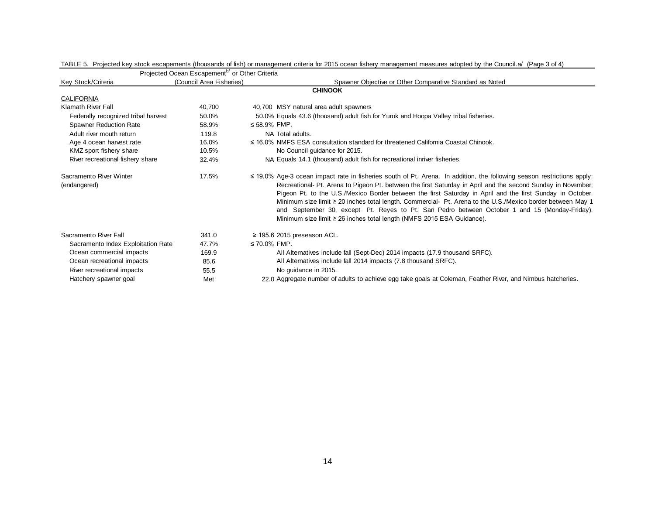|                                         | Projected Ocean Escapement <sup>b/</sup> or Other Criteria |                                                                                                                                                                                                                                                                                                                                                                                                                                                                                                                                                                                                                                                  |
|-----------------------------------------|------------------------------------------------------------|--------------------------------------------------------------------------------------------------------------------------------------------------------------------------------------------------------------------------------------------------------------------------------------------------------------------------------------------------------------------------------------------------------------------------------------------------------------------------------------------------------------------------------------------------------------------------------------------------------------------------------------------------|
| Key Stock/Criteria                      | (Council Area Fisheries)                                   | Spawner Objective or Other Comparative Standard as Noted                                                                                                                                                                                                                                                                                                                                                                                                                                                                                                                                                                                         |
|                                         |                                                            | <b>CHINOOK</b>                                                                                                                                                                                                                                                                                                                                                                                                                                                                                                                                                                                                                                   |
| <b>CALIFORNIA</b>                       |                                                            |                                                                                                                                                                                                                                                                                                                                                                                                                                                                                                                                                                                                                                                  |
| Klamath River Fall                      | 40,700                                                     | 40,700 MSY natural area adult spawners                                                                                                                                                                                                                                                                                                                                                                                                                                                                                                                                                                                                           |
| Federally recognized tribal harvest     | 50.0%                                                      | 50.0% Equals 43.6 (thousand) adult fish for Yurok and Hoopa Valley tribal fisheries.                                                                                                                                                                                                                                                                                                                                                                                                                                                                                                                                                             |
| <b>Spawner Reduction Rate</b>           | 58.9%                                                      | ≤ 58.9% FMP.                                                                                                                                                                                                                                                                                                                                                                                                                                                                                                                                                                                                                                     |
| Adult river mouth return                | 119.8                                                      | NA Total adults.                                                                                                                                                                                                                                                                                                                                                                                                                                                                                                                                                                                                                                 |
| Age 4 ocean harvest rate                | 16.0%                                                      | $\leq$ 16.0% NMFS ESA consultation standard for threatened California Coastal Chinook.                                                                                                                                                                                                                                                                                                                                                                                                                                                                                                                                                           |
| KMZ sport fishery share                 | 10.5%                                                      | No Council guidance for 2015.                                                                                                                                                                                                                                                                                                                                                                                                                                                                                                                                                                                                                    |
| River recreational fishery share        | 32.4%                                                      | NA Equals 14.1 (thousand) adult fish for recreational inriver fisheries.                                                                                                                                                                                                                                                                                                                                                                                                                                                                                                                                                                         |
| Sacramento River Winter<br>(endangered) | 17.5%                                                      | $\leq$ 19.0% Age-3 ocean impact rate in fisheries south of Pt. Arena. In addition, the following season restrictions apply:<br>Recreational- Pt. Arena to Pigeon Pt. between the first Saturday in April and the second Sunday in November;<br>Pigeon Pt. to the U.S./Mexico Border between the first Saturday in April and the first Sunday in October.<br>Minimum size limit ≥ 20 inches total length. Commercial- Pt. Arena to the U.S./Mexico border between May 1<br>and September 30, except Pt. Reyes to Pt. San Pedro between October 1 and 15 (Monday-Friday).<br>Minimum size limit ≥ 26 inches total length (NMFS 2015 ESA Guidance). |
| Sacramento River Fall                   | 341.0                                                      | $\geq$ 195.6 2015 preseason ACL.                                                                                                                                                                                                                                                                                                                                                                                                                                                                                                                                                                                                                 |
| Sacramento Index Exploitation Rate      | 47.7%                                                      | ≤ 70.0% FMP.                                                                                                                                                                                                                                                                                                                                                                                                                                                                                                                                                                                                                                     |
| Ocean commercial impacts                | 169.9                                                      | All Alternatives include fall (Sept-Dec) 2014 impacts (17.9 thousand SRFC).                                                                                                                                                                                                                                                                                                                                                                                                                                                                                                                                                                      |
| Ocean recreational impacts              | 85.6                                                       | All Alternatives include fall 2014 impacts (7.8 thousand SRFC).                                                                                                                                                                                                                                                                                                                                                                                                                                                                                                                                                                                  |
| River recreational impacts              | 55.5                                                       | No quidance in 2015.                                                                                                                                                                                                                                                                                                                                                                                                                                                                                                                                                                                                                             |
| Hatchery spawner goal                   | Met                                                        | 22.0 Aggregate number of adults to achieve egg take goals at Coleman, Feather River, and Nimbus hatcheries.                                                                                                                                                                                                                                                                                                                                                                                                                                                                                                                                      |

TABLE 5. Projected key stock escapements (thousands of fish) or management criteria for 2015 ocean fishery management measures adopted by the Council.a/ (Page 3 of 4)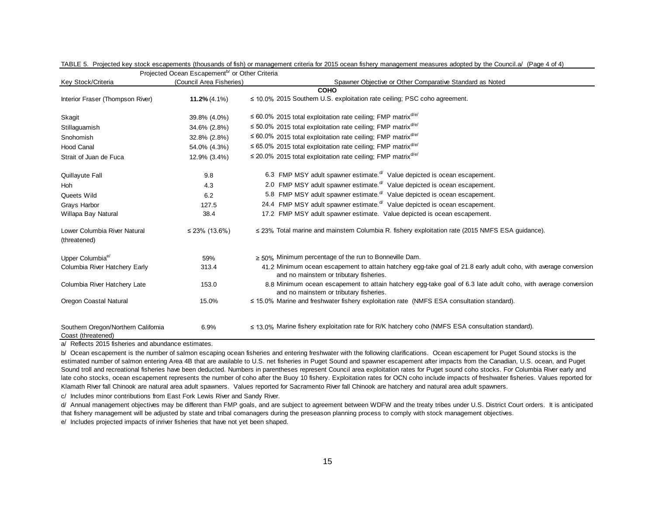|                                                                                                       | Projected Ocean Escapement <sup>b/</sup> or Other Criteria |                                                                                                                                                             |
|-------------------------------------------------------------------------------------------------------|------------------------------------------------------------|-------------------------------------------------------------------------------------------------------------------------------------------------------------|
| Key Stock/Criteria                                                                                    | (Council Area Fisheries)                                   | Spawner Objective or Other Comparative Standard as Noted                                                                                                    |
|                                                                                                       |                                                            | <b>COHO</b>                                                                                                                                                 |
| Interior Fraser (Thompson River)                                                                      | $11.2\% (4.1\%)$                                           | ≤ 10.0% 2015 Southern U.S. exploitation rate ceiling; PSC coho agreement.                                                                                   |
| Skagit                                                                                                | 39.8% (4.0%)                                               | $\leq$ 60.0% 2015 total exploitation rate ceiling; FMP matrix <sup>d/e/</sup>                                                                               |
| Stillaguamish                                                                                         | 34.6% (2.8%)                                               | ≤ 50.0% 2015 total exploitation rate ceiling; FMP matrix <sup>d/e/</sup>                                                                                    |
| Snohomish                                                                                             | 32.8% (2.8%)                                               | ≤ 60.0% 2015 total exploitation rate ceiling; FMP matrix <sup>d/e/</sup>                                                                                    |
| <b>Hood Canal</b>                                                                                     | 54.0% (4.3%)                                               | ≤ 65.0% 2015 total exploitation rate ceiling; FMP matrix <sup>d/e/</sup>                                                                                    |
| Strait of Juan de Fuca                                                                                | 12.9% (3.4%)                                               | $\leq$ 20.0% 2015 total exploitation rate ceiling; FMP matrix <sup>d/e/</sup>                                                                               |
| Quillayute Fall                                                                                       | 9.8                                                        | 6.3 FMP MSY adult spawner estimate. <sup>d/</sup> Value depicted is ocean escapement.                                                                       |
| Hoh                                                                                                   | 4.3                                                        | 2.0 FMP MSY adult spawner estimate. <sup>d/</sup> Value depicted is ocean escapement.                                                                       |
| Queets Wild                                                                                           | 6.2                                                        | 5.8 FMP MSY adult spawner estimate. d/ Value depicted is ocean escapement.                                                                                  |
| Grays Harbor                                                                                          | 127.5                                                      | 24.4 FMP MSY adult spawner estimate. $d'$ Value depicted is ocean escapement.                                                                               |
| Willapa Bay Natural                                                                                   | 38.4                                                       | 17.2 FMP MSY adult spawner estimate. Value depicted is ocean escapement.                                                                                    |
| Lower Columbia River Natural<br>(threatened)                                                          | ≤ 23% (13.6%)                                              | $\leq$ 23% Total marine and mainstem Columbia R. fishery exploitation rate (2015 NMFS ESA guidance).                                                        |
| Upper Columbia <sup>e/</sup>                                                                          | 59%                                                        | $\geq$ 50% Minimum percentage of the run to Bonneville Dam.                                                                                                 |
| Columbia River Hatchery Early                                                                         | 313.4                                                      | 41.2 Minimum ocean escapement to attain hatchery egg-take goal of 21.8 early adult coho, with average conversion<br>and no mainstem or tributary fisheries. |
| Columbia River Hatchery Late                                                                          | 153.0                                                      | 8.8 Minimum ocean escapement to attain hatchery egg-take goal of 6.3 late adult coho, with average conversion<br>and no mainstem or tributary fisheries.    |
| Oregon Coastal Natural                                                                                | 15.0%                                                      | $\leq$ 15.0% Marine and freshwater fishery exploitation rate (NMFS ESA consultation standard).                                                              |
| Southern Oregon/Northern California<br>Coast (threatened)<br>Deflects, OOAF februise and elements and | 6.9%                                                       | $\leq$ 13.0% Marine fishery exploitation rate for R/K hatchery coho (NMFS ESA consultation standard).                                                       |

TABLE 5. Projected key stock escapements (thousands of fish) or management criteria for 2015 ocean fishery management measures adopted by the Council.a/ (Page 4 of 4)

a/ Reflects 2015 fisheries and abundance estimates.

b/ Ocean escapement is the number of salmon escaping ocean fisheries and entering freshwater with the following clarifications. Ocean escapement for Puget Sound stocks is the estimated number of salmon entering Area 4B that are available to U.S. net fisheries in Puget Sound and spawner escapement after impacts from the Canadian, U.S. ocean, and Puget Sound troll and recreational fisheries have been deducted. Numbers in parentheses represent Council area exploitation rates for Puget sound coho stocks. For Columbia River early and late coho stocks, ocean escapement represents the number of coho after the Buoy 10 fishery. Exploitation rates for OCN coho include impacts of freshwater fisheries. Values reported for Klamath River fall Chinook are natural area adult spawners. Values reported for Sacramento River fall Chinook are hatchery and natural area adult spawners.

c/ Includes minor contributions from East Fork Lewis River and Sandy River.

d/ Annual management objectives may be different than FMP goals, and are subject to agreement between WDFW and the treaty tribes under U.S. District Court orders. It is anticipated that fishery management will be adjusted by state and tribal comanagers during the preseason planning process to comply with stock management objectives.

e/ Includes projected impacts of inriver fisheries that have not yet been shaped.